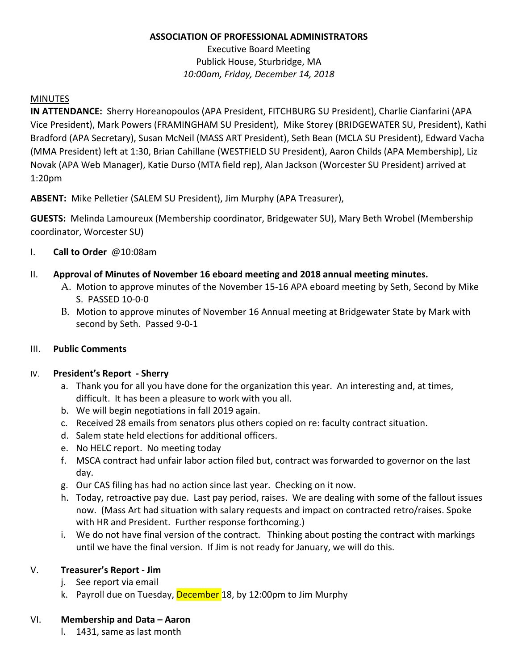## **ASSOCIATION OF PROFESSIONAL ADMINISTRATORS**

Executive Board Meeting Publick House, Sturbridge, MA *10:00am, Friday, December 14, 2018*

## MINUTES

**IN ATTENDANCE:** Sherry Horeanopoulos (APA President, FITCHBURG SU President), Charlie Cianfarini (APA Vice President), Mark Powers (FRAMINGHAM SU President), Mike Storey (BRIDGEWATER SU, President), Kathi Bradford (APA Secretary), Susan McNeil (MASS ART President), Seth Bean (MCLA SU President), Edward Vacha (MMA President) left at 1:30, Brian Cahillane (WESTFIELD SU President), Aaron Childs (APA Membership), Liz Novak (APA Web Manager), Katie Durso (MTA field rep), Alan Jackson (Worcester SU President) arrived at 1:20pm

**ABSENT:** Mike Pelletier (SALEM SU President), Jim Murphy (APA Treasurer),

**GUESTS:** Melinda Lamoureux (Membership coordinator, Bridgewater SU), Mary Beth Wrobel (Membership coordinator, Worcester SU)

- I. **Call to Order** @10:08am
- II. **Approval of Minutes of November 16 eboard meeting and 2018 annual meeting minutes.** 
	- A. Motion to approve minutes of the November 15-16 APA eboard meeting by Seth, Second by Mike S. PASSED 10-0-0
	- B. Motion to approve minutes of November 16 Annual meeting at Bridgewater State by Mark with second by Seth. Passed 9-0-1

# III. **Public Comments**

# IV. **President's Report - Sherry**

- a. Thank you for all you have done for the organization this year. An interesting and, at times, difficult. It has been a pleasure to work with you all.
- b. We will begin negotiations in fall 2019 again.
- c. Received 28 emails from senators plus others copied on re: faculty contract situation.
- d. Salem state held elections for additional officers.
- e. No HELC report. No meeting today
- f. MSCA contract had unfair labor action filed but, contract was forwarded to governor on the last day.
- g. Our CAS filing has had no action since last year. Checking on it now.
- h. Today, retroactive pay due. Last pay period, raises. We are dealing with some of the fallout issues now. (Mass Art had situation with salary requests and impact on contracted retro/raises. Spoke with HR and President. Further response forthcoming.)
- i. We do not have final version of the contract. Thinking about posting the contract with markings until we have the final version. If Jim is not ready for January, we will do this.

# V. **Treasurer's Report - Jim**

- j. See report via email
- k. Payroll due on Tuesday, December 18, by 12:00pm to Jim Murphy

## VI. **Membership and Data – Aaron**

l. 1431, same as last month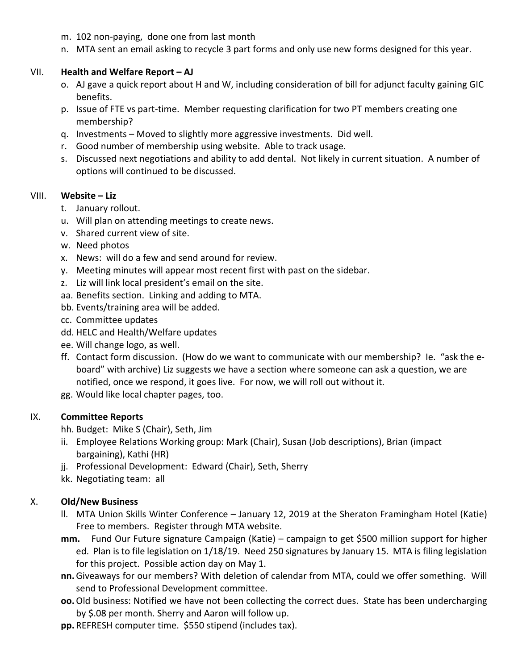- m. 102 non-paying, done one from last month
- n. MTA sent an email asking to recycle 3 part forms and only use new forms designed for this year.

## VII. **Health and Welfare Report – AJ**

- o. AJ gave a quick report about H and W, including consideration of bill for adjunct faculty gaining GIC benefits.
- p. Issue of FTE vs part-time. Member requesting clarification for two PT members creating one membership?
- q. Investments Moved to slightly more aggressive investments. Did well.
- r. Good number of membership using website. Able to track usage.
- s. Discussed next negotiations and ability to add dental. Not likely in current situation. A number of options will continued to be discussed.

#### VIII. **Website – Liz**

- t. January rollout.
- u. Will plan on attending meetings to create news.
- v. Shared current view of site.
- w. Need photos
- x. News: will do a few and send around for review.
- y. Meeting minutes will appear most recent first with past on the sidebar.
- z. Liz will link local president's email on the site.
- aa. Benefits section. Linking and adding to MTA.
- bb. Events/training area will be added.
- cc. Committee updates
- dd. HELC and Health/Welfare updates
- ee. Will change logo, as well.
- ff. Contact form discussion. (How do we want to communicate with our membership? Ie. "ask the eboard" with archive) Liz suggests we have a section where someone can ask a question, we are notified, once we respond, it goes live. For now, we will roll out without it.
- gg. Would like local chapter pages, too.

### IX. **Committee Reports**

- hh. Budget: Mike S (Chair), Seth, Jim
- ii. Employee Relations Working group: Mark (Chair), Susan (Job descriptions), Brian (impact bargaining), Kathi (HR)
- jj. Professional Development: Edward (Chair), Seth, Sherry
- kk. Negotiating team: all

# X. **Old/New Business**

- ll. MTA Union Skills Winter Conference January 12, 2019 at the Sheraton Framingham Hotel (Katie) Free to members. Register through MTA website.
- **mm.** Fund Our Future signature Campaign (Katie) campaign to get \$500 million support for higher ed. Plan is to file legislation on 1/18/19. Need 250 signatures by January 15. MTA is filing legislation for this project. Possible action day on May 1.
- **nn.** Giveaways for our members? With deletion of calendar from MTA, could we offer something. Will send to Professional Development committee.
- **oo.**Old business: Notified we have not been collecting the correct dues. State has been undercharging by \$.08 per month. Sherry and Aaron will follow up.
- **pp.** REFRESH computer time. \$550 stipend (includes tax).